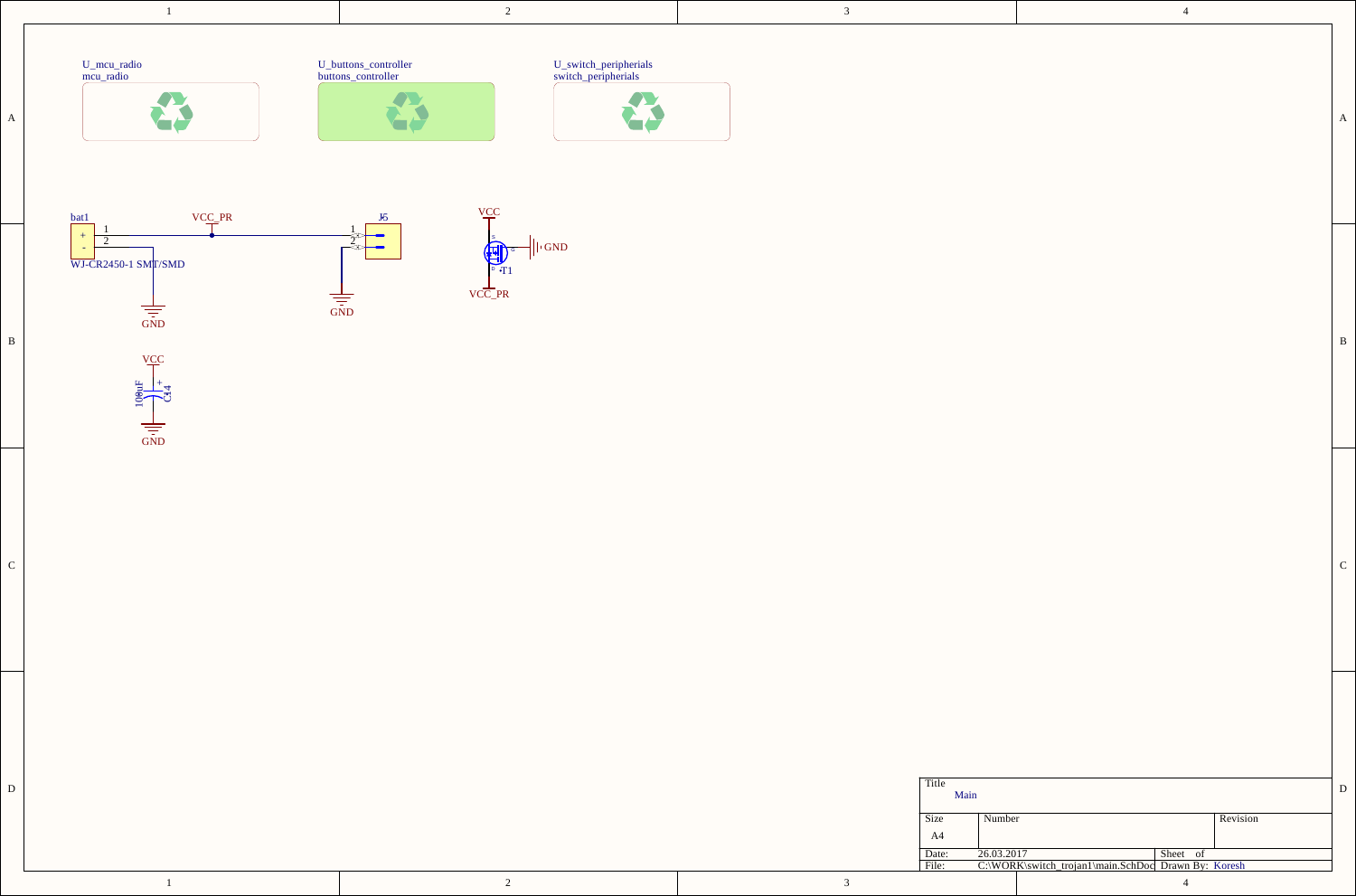

U\_buttons\_controller<br>buttons\_controller

T

U\_switch\_peripherials<br>switch\_peripherials

 $\overline{c}$ 







 $\,$   $\,$   $\,$ 

 $\,$  D  $\,$ 

 $\overline{c}$ 

 $\, {\bf B}$ 

A



|  | 26.03.2017                                          | Sheet |  |
|--|-----------------------------------------------------|-------|--|
|  | C:\WORK\switch_troian1\main.SchDoc Drawn By: Koresh |       |  |
|  |                                                     |       |  |

 $\,$  D  $\,$ 

i s i o n

 $\rm{C}$ 

 $\, {\bf B}$ 

A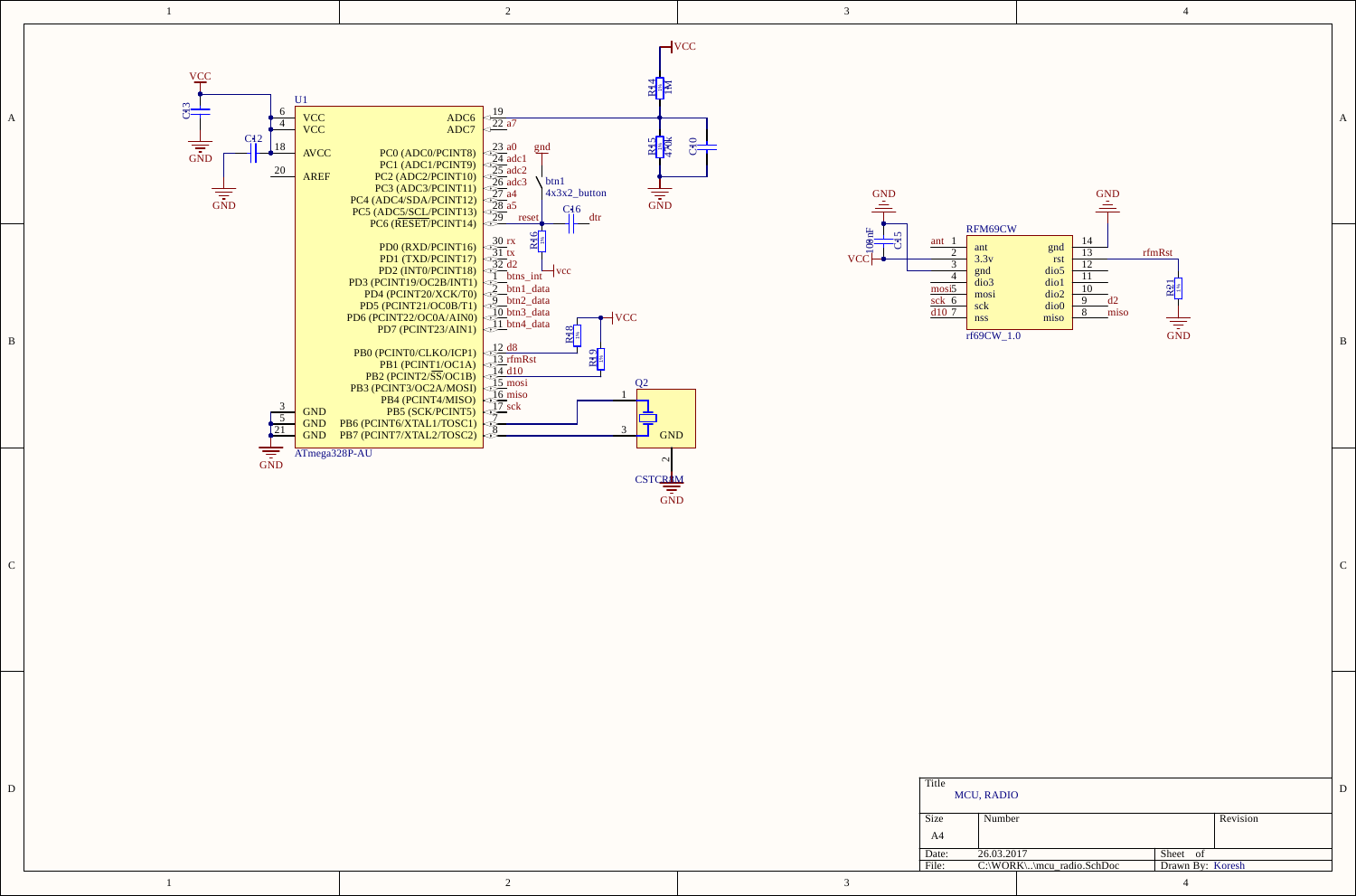

 $\,$  D  $\,$ 

C

 $\,$  B  $\,$ 

A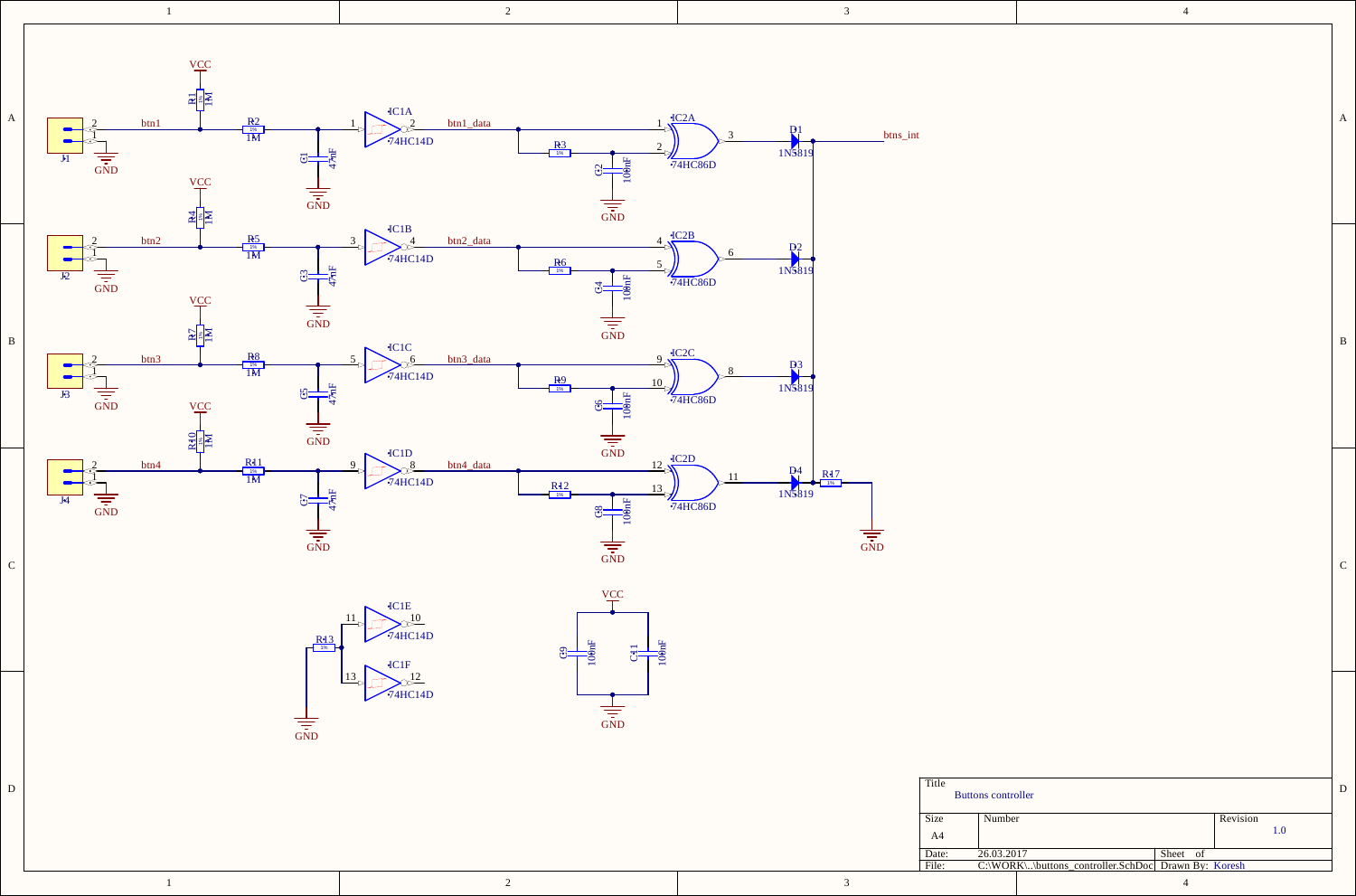